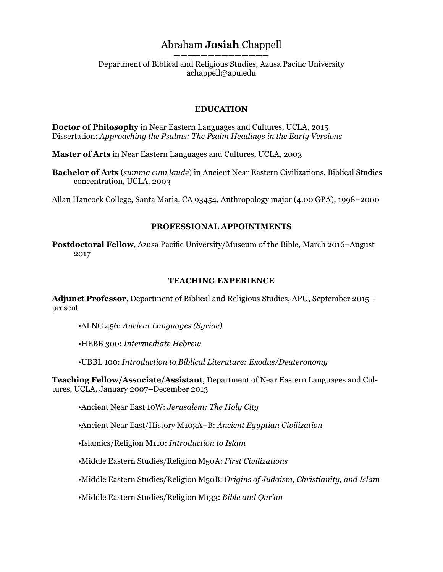# Abraham **Josiah** Chappell

—————————————— Department of Biblical and Religious Studies, Azusa Pacific University achappell@apu.edu

# **EDUCATION**

**Doctor of Philosophy** in Near Eastern Languages and Cultures, UCLA, 2015 Dissertation: *Approaching the Psalms: The Psalm Headings in the Early Versions*

**Master of Arts** in Near Eastern Languages and Cultures, UCLA, 2003

**Bachelor of Arts** (*summa cum laude*) in Ancient Near Eastern Civilizations, Biblical Studies concentration, UCLA, 2003

Allan Hancock College, Santa Maria, CA 93454, Anthropology major (4.00 GPA), 1998–2000

# **PROFESSIONAL APPOINTMENTS**

**Postdoctoral Fellow**, Azusa Pacific University/Museum of the Bible, March 2016–August 2017

## **TEACHING EXPERIENCE**

**Adjunct Professor**, Department of Biblical and Religious Studies, APU, September 2015– present

•ALNG 456: *Ancient Languages (Syriac)*

•HEBB 300: *Intermediate Hebrew*

•UBBL 100: *Introduction to Biblical Literature: Exodus/Deuteronomy*

**Teaching Fellow/Associate/Assistant**, Department of Near Eastern Languages and Cultures, UCLA, January 2007–December 2013

•Ancient Near East 10W: *Jerusalem: The Holy City*

•Ancient Near East/History M103A–B: *Ancient Egyptian Civilization*

•Islamics/Religion M110: *Introduction to Islam*

•Middle Eastern Studies/Religion M50A: *First Civilizations*

•Middle Eastern Studies/Religion M50B: *Origins of Judaism, Christianity, and Islam*

•Middle Eastern Studies/Religion M133: *Bible and Qur'an*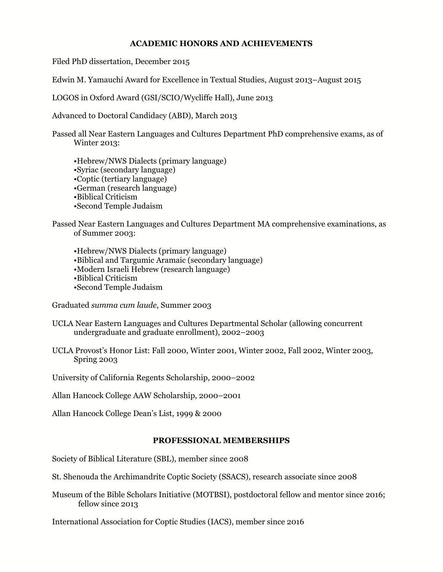# **ACADEMIC HONORS AND ACHIEVEMENTS**

Filed PhD dissertation, December 2015

Edwin M. Yamauchi Award for Excellence in Textual Studies, August 2013–August 2015

LOGOS in Oxford Award (GSI/SCIO/Wycliffe Hall), June 2013

Advanced to Doctoral Candidacy (ABD), March 2013

Passed all Near Eastern Languages and Cultures Department PhD comprehensive exams, as of Winter 2013:

•Hebrew/NWS Dialects (primary language) •Syriac (secondary language) •Coptic (tertiary language) •German (research language) •Biblical Criticism •Second Temple Judaism

Passed Near Eastern Languages and Cultures Department MA comprehensive examinations, as of Summer 2003:

•Hebrew/NWS Dialects (primary language) •Biblical and Targumic Aramaic (secondary language) •Modern Israeli Hebrew (research language) •Biblical Criticism •Second Temple Judaism

Graduated *summa cum laude*, Summer 2003

- UCLA Near Eastern Languages and Cultures Departmental Scholar (allowing concurrent undergraduate and graduate enrollment), 2002–2003
- UCLA Provost's Honor List: Fall 2000, Winter 2001, Winter 2002, Fall 2002, Winter 2003, Spring 2003

University of California Regents Scholarship, 2000–2002

Allan Hancock College AAW Scholarship, 2000–2001

Allan Hancock College Dean's List, 1999 & 2000

# **PROFESSIONAL MEMBERSHIPS**

Society of Biblical Literature (SBL), member since 2008

St. Shenouda the Archimandrite Coptic Society (SSACS), research associate since 2008

Museum of the Bible Scholars Initiative (MOTBSI), postdoctoral fellow and mentor since 2016; fellow since 2013

International Association for Coptic Studies (IACS), member since 2016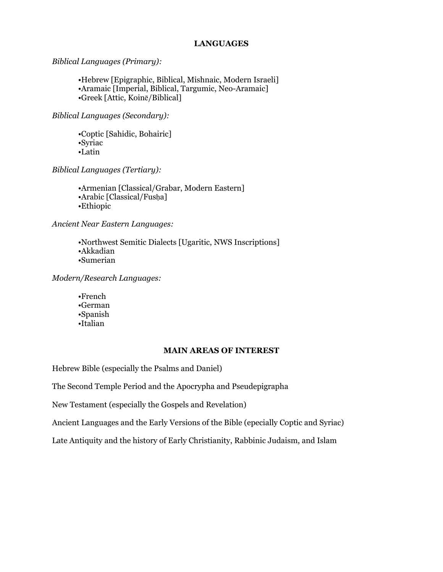### **LANGUAGES**

*Biblical Languages (Primary):*

•Hebrew [Epigraphic, Biblical, Mishnaic, Modern Israeli] •Aramaic [Imperial, Biblical, Targumic, Neo-Aramaic] •Greek [Attic, Koinē/Biblical]

*Biblical Languages (Secondary):*

•Coptic [Sahidic, Bohairic] •Syriac •Latin

*Biblical Languages (Tertiary):*

•Armenian [Classical/Grabar, Modern Eastern] •Arabic [Classical/Fusḥa] •Ethiopic

*Ancient Near Eastern Languages:*

•Northwest Semitic Dialects [Ugaritic, NWS Inscriptions] •Akkadian •Sumerian

*Modern/Research Languages:*

•French •German •Spanish •Italian

### **MAIN AREAS OF INTEREST**

Hebrew Bible (especially the Psalms and Daniel)

The Second Temple Period and the Apocrypha and Pseudepigrapha

New Testament (especially the Gospels and Revelation)

Ancient Languages and the Early Versions of the Bible (epecially Coptic and Syriac)

Late Antiquity and the history of Early Christianity, Rabbinic Judaism, and Islam